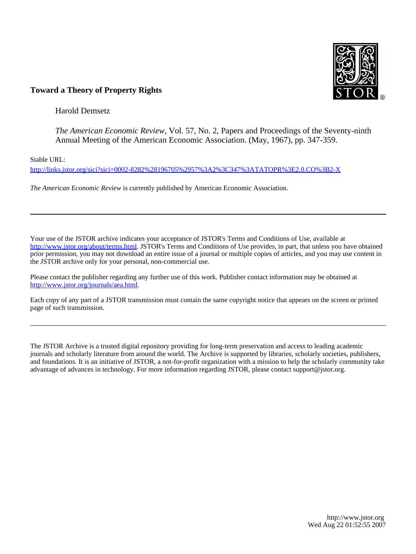

### **Toward a Theory of Property Rights**

Harold Demsetz

*The American Economic Review*, Vol. 57, No. 2, Papers and Proceedings of the Seventy-ninth Annual Meeting of the American Economic Association. (May, 1967), pp. 347-359.

Stable URL:

<http://links.jstor.org/sici?sici=0002-8282%28196705%2957%3A2%3C347%3ATATOPR%3E2.0.CO%3B2-X>

*The American Economic Review* is currently published by American Economic Association.

Your use of the JSTOR archive indicates your acceptance of JSTOR's Terms and Conditions of Use, available at [http://www.jstor.org/about/terms.html.](http://www.jstor.org/about/terms.html) JSTOR's Terms and Conditions of Use provides, in part, that unless you have obtained prior permission, you may not download an entire issue of a journal or multiple copies of articles, and you may use content in the JSTOR archive only for your personal, non-commercial use.

Please contact the publisher regarding any further use of this work. Publisher contact information may be obtained at [http://www.jstor.org/journals/aea.html.](http://www.jstor.org/journals/aea.html)

Each copy of any part of a JSTOR transmission must contain the same copyright notice that appears on the screen or printed page of such transmission.

The JSTOR Archive is a trusted digital repository providing for long-term preservation and access to leading academic journals and scholarly literature from around the world. The Archive is supported by libraries, scholarly societies, publishers, and foundations. It is an initiative of JSTOR, a not-for-profit organization with a mission to help the scholarly community take advantage of advances in technology. For more information regarding JSTOR, please contact support@jstor.org.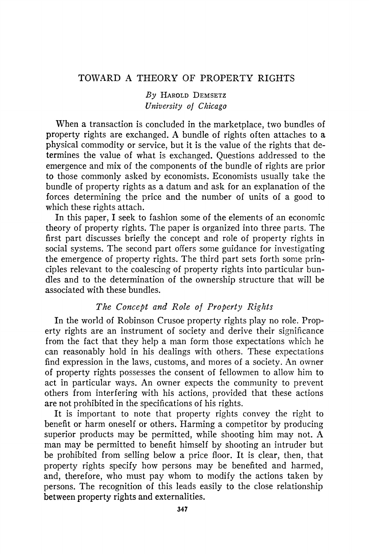#### TOWARD A THEORY OF PROPERTY RIGHTS

By HAROLD DEMSETZ University of Chicago

When a transaction is concluded in the marketplace, two bundles of property rights are exchanged. A bundle of rights often attaches to a physical commodity or service, but it is the value of the rights that determines the value of what is exchanged. Questions addressed to the emergence and mix of the components of the bundle of rights are prior to those commonly asked by economists. Economists usually take the bundle of property rights as a datum and ask for an explanation of the forces determining the price and the number of units of a good to which these rights attach.

In this paper, I seek to fashion some of the elements of an economic theory of property rights. The paper is organized into three parts. The first part discusses briefly the concept and role of property rights in social systems. The second part offers some guidance for investigating the emergence of property rights. The third part sets forth some principles relevant to the coalescing of property rights into particular bundles and to the determination of the ownership structure that will be associated with these bundles.

#### *The Concept and Role of Property Rights*

In the world of Robinson Crusoe property rights play no role, Property rights are an instrument of society and derive their significance from the fact that they help a man form those expectations which he can reasonably hold in his dealings with others. These expectations find expression in the laws, customs, and mores of a society. An owner of property rights possesses the consent of fellowmen to allow him to act in particular ways. An owner expects the community to prevent others from interfering with his actions, provided that these actions are not prohibited in the specifications of his rights.

It is important to note that property rights convey the right to benefit or harm oneself or others. Harming a competitor by producing superior products may be permitted, while shooting him may not. **A**  man may be permitted to benefit himself by shooting an intruder but be prohibited from selling below a price floor. It is clear, then, that property rights specify how persons may be benefited and harmed, and, therefore, who must pay whom to modify the actions taken by persons. The recognition of this leads easily to the close relationship between property rights and externalities.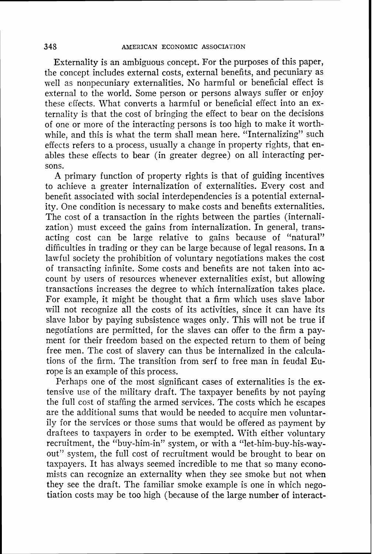Externality is an ambiguous concept. For the purposes of this paper, the concept includes external costs, external benefits, and pecuniary as well as nonpecuniary externalities. No harmful or beneficial effect is external to the world. Some person or persons always suffer or enjoy these effects. What converts a harmful or beneficial effect into an externality is that the cost of bringing the effect to bear on the decisions of one or more of the interacting persons is too high to make it worthwhile, and this is what the term shall mean here. "Internalizing" such effects refers to a process, usually a change in property rights, that enables these effects to bear (in greater degree) on all interacting persons.

A primary function of property rights is that of guiding incentives to achieve a greater internalization of externalities. Every cost and benefit associated with social interdependencies is a potential externality. One condition is necessary to make costs and benefits externalities. The cost of a transaction in the rights between the parties (internalization) must exceed the gains from internalization. In general, transacting cost can be large relative to gains because of "natural" difficulties in trading or they can be large because of legal reasons. In a lawful society the prohibition of voluntary negotiations makes the cost of transacting infinite. Some costs and benefits are not taken into account by users of resources whenever externalities exist, but allowing transactions increases the degree to which internalization takes place. For esample, it might be thought that a firm which uses slave labor will not recognize all the costs of its activities, since it can have its slave labor by paying subsistence wages only. This will not be true if negotiations are permitted, for the slaves can offer to the firm a payment for their freedom based on the expected return to them of being free men. The cost of slavery can thus be internalized in the calculations of the firm. The transition from serf to free man in feudal Europe is an example of this process.

Perhaps one of the most significant cases of externalities is the extensive use of the military draft. The taxpayer benefits by not paying the full cost of staffing the armed services. The costs which he escapes are the additional sums that would be needed to acquire men voluntarily for the services or those sums that would be offered as payment by draftees to taxpayers in order to be exempted. With either voluntary recruitment, the "buy-him-in" system, or with a "let-him-buy-his-wayout" system, the full cost of recruitment would be brought to bear on taxpayers. It has always seemed incredible to me that so many econonists can recognize an externality when they see smoke but not when they see the draft. The familiar smoke example is one in which negotiation costs may be too high (because of the large number of interact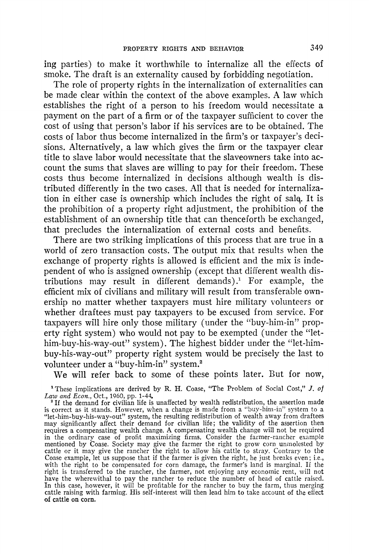ing parties) to make it worthwhile to internalize all the effects of smoke. The draft is an externality caused by forbidding negotiation.

The role of property rights in the internalization of externalities can be made clear within the context of the above examples. A law which establishes the right of a person to his freedom would necessitate a payment on the part of a firm or of the taxpayer sufficient to cover the cost of using that person's labor if his services are to be obtained. The costs of labor thus become internalized in the firm's or taxpayer's decisions. Alternatively, a law which gives the firm or the taxpayer clear title to slave labor would necessitate that the slaveowners take into account the sums that slaves are willing to pay for their freedom. These costs thus become internalized in decisions although wealth is distributed differently in the two cases. All that is needed for internalization in either case is ownership which includes the right of salq. It is the prohibition of a property right adjustment, the prohibition of the establishment of an ownership title that can thenceforth be exchanged, that precludes the internalization of external costs and benefits.

There are two striking implications of this process that are true in a world of zero transaction costs. The output mix that results when the exchange of property rights is allowed is efficient and the mix is independent of who is assigned ownership (except that different wealth distributions may result in difierent demands) .' For example, the efficient mix of civilians and military will result from transferable omnership no matter whether taxpayers must hire military volunteers or whether draftees must pay taxpayers to be excused from service. For taxpayers will hire only those military (under the "buy-him-in" property right system) who would not pay to be exempted (under the "lethim-buy-his-way-out" system). The highest bidder under the "let-himbuy-his-way-out" property right system would be precisely the last to volunteer under a "buy-him-in" system.<sup>2</sup>

We will refer back to some of these points later. But for now,

<sup>1</sup> These implications are derived by R. H. Coase, "The Problem of Social Cost," *J. of Law and Econ.*, Oct., 1960, pp. 1-44.

If the demand for civilian life is unaffected by wealth redistribution, the assertion made is correct as it stands. However, when a change is made from a "buy-him-in" system to a<br>"let-him-buy-his-way-out" system, the resulting redistribution of wealth away from draftees may significantly affect their demand for civilian life; the validity of the assertion then requires a compensating wealth change. A compensating wealth change will not be required in the ordinary case of profit maximizing firms. Consider the farmer-rancher example mentioned by Coase. Society may give the farmer the right to grow corn unmolested by cattle or it may give the rancher the right to allow his cattle to stray. Contrary to the<br>Coase example, let us suppose that if the farmer is given the right, he just breaks even; i.e.,<br>with the right to be compensated for right is transferred to the rancher, the farmer, not enjoying any economic rent, will not have the wherewithal to pay the rancher to reduce the number of head of cattle raised.<br>In this case, however, it will be profitable for the rancher to buy the farm, thus merging cattle raising with farming. His self-interest will then lead him to takc account of the efiect of cattle on corn.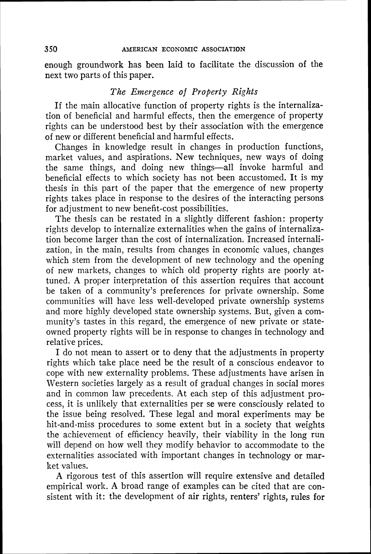enough groundwork has been laid to facilitate the discussion of the next two parts of this paper.

#### *The Emergence of Property Rights*

If the main allocative function of property rights is the internalization of beneficial and harmful effects, then the emergence of property rights can be understood best by their association with the emergence of new or different beneficial and harmful effects.

Changes in knowledge result in changes in production functions, market values, and aspirations. New techniques, new ways of doing the same things, and doing new things-all invoke harmful and beneficial effects to which society has not been accustomed. It is my thesis in this part of the paper that the emergence of new property rights takes place in response to the desires of the interacting persons for adjustment to new benefit-cost possibilities.

The thesis can be restated in a slightly different fashion: property rights develop to internalize externalities when the gains of internalization become larger than the cost of internalization. Increased internalization, in the main, results from changes in economic values, changes which stem from the development of new technology and the opening of new markets, changes to which old property rights are poorly attuned. **A** proper interpretation of this assertion requires that account be taken of a community's preferences for private ownership. Some communities will have less well-developed private ownership systems and more highly developed state ownership systems. But, given a community's tastes in this regard, the emergence of new private or stateowned property rights will be in response to changes in technology and relative prices.

I do not mean to assert or to deny that the adjustments in property rights which take place need be the result of a conscious endeavor to cope with new externality problems. These adjustments have arisen in Western societies largely as a result of gradual changes in social mores and in common law precedents. At each step cf this adjustment process, it is unlikely that externalities per se were consciously related to the issue being resolved. These legal and moral experiments may be hit-and-miss procedures to some extent but in a society that weights the achievement of efficiency heavily, their viability in the long run will depend on how well they modify behavior to accommodate to the externalities associated with important changes in technology or market values.

**A** rigorous test of this assertion will require extensive and detailed empirical work. A broad range of examples can be cited that are consistent with it: the development of air rights, renters' rights, rules for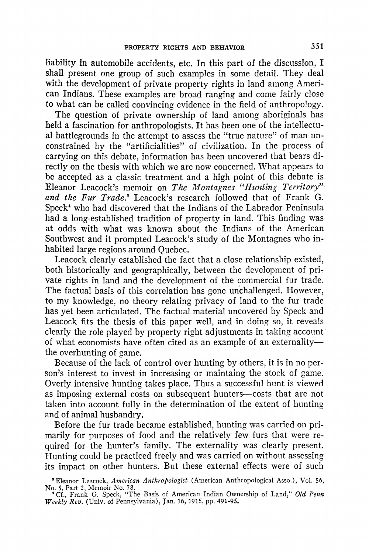liability in automobile accidents, etc. In this part of the discussion, **1**  shall present one group of such examples in some detail. They deal with the development of private property rights in land among American Indians. These examples are broad ranging and come fairly close to what can be called convincing evidence in the field of anthropology.

The question of private ownership of land among aboriginals has held a fascination for anthropologists. It has been one of the intellectual battlegrounds in the attempt to assess the "true nature" of man unconstrained by the "artificialities" of civilization. In the process of carrying on this debate, information has been uncovered that bears directly on the thesis with which we are now concerned. What appears to be accepted as a classic treatment and a high point of this debate is Eleanor Leacock's memoir on *The Montagnes "Hunting Territory"* and the Fur Trade.<sup>8</sup> Leacock's research followed that of Frank G. Speck<sup>4</sup> who had discovered that the Indians of the Labrador Peninsula had a long-established tradition of property in land. This finding was at odds with what was known about the Indians of the American Southwest and it prompted Leacock's study of the Montagnes who inhabited large regions around Quebec.

Leacock clearly established the fact that a close relationship existed, both historically and geographically, between the development of private rights in land and the development of the commercial fur trade. The factual basis of this correlation has gone unchallenged. However, to my knowledge, no theory relating privacy of land to the fur trade has yet been articulated. The factual material uncovered by Speck and Leacock fits the thesis of this paper well, and in doing so, it reveals clearly the role played by property right adjustments in taking account of what economists have often cited as an example of an externalitythe overhunting of game.

Because of the lack of control over hunting by others, it is in no person's interest to invest in increasing or maintaing the stock of game. Overly intensive hunting takes place. Thus a successful hunt is viewed as imposing external costs on subsequent hunters-costs that are not taken into account fully in the determination of the extent of hunting and of animal husbandry.

Before the fur trade became established, hunting was carried on primarily for purposes of food and the relatively few furs that were required for the hunter's family. The externality was clearly present. Hunting could be practiced freely and was carried on without assessing its impact on other hunters. But these external effects were of such

<sup>&</sup>lt;sup>3</sup> Eleanor Leacock, *American Anthropologist* (American Anthropological Asso.), Vol. 56, No. 5, Part 2. Memoir No. 78.<br> **Cf.**, Frank G. Speck, "The Basis of American Indian Ownership of Land," Old *Penn* <sup>2</sup>

Weekly *Rev.* (Univ. of Pennsylvania), Jan. 16, 1915, pp. **491-95.**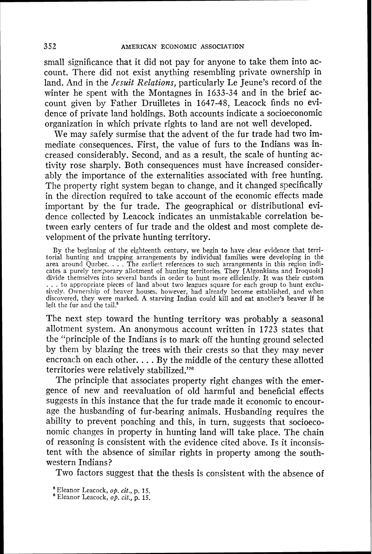small significance that it did not pay for anyone to take them into account. There did not exist anything resembling private ownership in land. And in the **Jesuit** Relations, particularly Le Jeune's record of the winter he spent with the Montagnes in 1633-34 and in the brief account given by Father Druilletes in 1647-48, Leacock finds no evidence of private land holdings. Both accounts indicate a socioeconomic organization in which private rights to land are not well developed.

We may safely surmise that the advent of the fur trade had two immediate consequences. First, the value of furs to the Indians was increased considerably. Second, and as a result, the scale of hunting activity rose sharply. Both consequences must have increased considerably the importance of the externalities associated with free hunting. The property right system began to change, and it changed specifically in the direction required to take account of the economic effects made important by the fur trade. The geographical or distributional evideme collected by Leacock indicates an unmistakable correlation between early centers of fur trade and the oldest and most complete development of the private hunting territory.

By the beginning of the eighteenth century, we begin to have clear evidence that territorial hunting and trapping arrangements by individual families were developing in the cates a nound Quebec.... The earliest references to such arrangements in this region indi-<br>cates a purely temporary allotment of hunting territories. They [Algonkians and Iroquois]<br>divide themselves into several bands in o ... to appropriate pieces of land about two leagues square for each group to hunt exclu-<br>sively. Ownership of beaver houses, however, had already become established, and when discovered, they were marked. A starving Indian could kill and eat another's beaver if he left the fur and the tail.<sup>5</sup>

The next step toward the hunting territory was probably a seasonal allotment system. An anonymous account written in 1723 states that the "principle of the Indians is to mark off the hunting ground selected by them Dy blazing the trees with their crests so that they may never encroach on each other. . . . By the middle of the century these allotted territories were relatively stabilized."<sup>6</sup>

The principle that associates property right changes with the emergence of new and reevaluation of old harmful and beneficial effects suggests in this instance that the fur trade made it economic to encourage the husbanding of fur-bearing animals. Husbanding requires the ability to prevent poaching and this, in turn, sugqests that socioeconomic changes in property in hunting land will take place. The chain of reasoning is consistent with the evidence cited above. Is it inconsistent with the absence of similar rights in property among the southwestern Indians?

Two factors suggest that the thesis is consistent with the absence of

<sup>&#</sup>x27;Eleanor Leacock, *up. cit.,* p. 15.

<sup>&</sup>lt;sup>6</sup> Eleanor Leacock, op. cit., p. 15.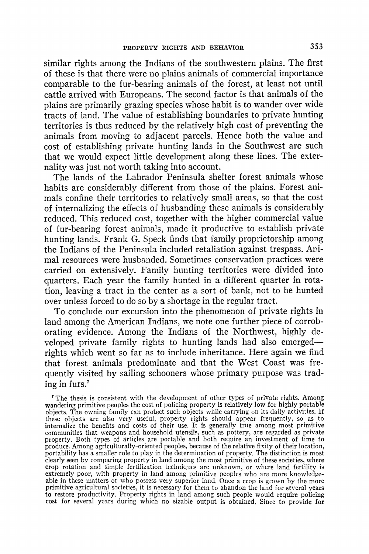similar rights among the Indians of the southwestern plains. The first of these is that there were no plains animals of commercial importance comparable to the fur-bearing animals of the forest, at least not until cattle arrived with Europeans. The second factor is that animals of the plains are primarily grazing species tvhose habit is to wander over wide tracts of land. The value of establishing boundaries to private hunting territories is thus reduced by the relatively high cost of preventing the animals from moving to adjacent parcels. Hence both the value and cost of establishing private hunting lands in the Southwest are such that we would expect little development along these lines. The externality was just not worth taking into account.

The lands of the Labrador Peninsula shelter forest animals whose habits are considerably different from those of the plains. Forest animals confine their territories to relatively small areas, so that the cost of internalizing the effects of husbanding these animals is considerably reduced. This reduced cost, together with the higher commercial value of fur-bearing forest animals, made it productive to establish private hunting lands. Frank G. Speck finds that family proprietorship among the Indians of the Peninsula included retaliation against trespass. Anima1 resources were husbanded. Sometimes conservation practices were carried on extensively. Family hunting territories were divided into quarters. Each year the family hunted in a different quarter in rotation, leaving a tract in the center as a sort of bank, not to be hunted over unless forced to do so by a shortage in the regular tract.

To conclude our excursion into the phenomenon of private rights in land among the American Indians, we note one further piece of corroborating evidence. Among the Indians of the Northwest, highly developed private family rights to hunting lands had also emerged rights which went so far as to include inheritance. Here again we find that forest animals predominate and that the West Coast was frequently visited by sailing schooners whose primary purpose was trading in furs.'

<sup>T</sup>The thesis is consistent with the development of other types of private rights. Among wandering primitive peoples the cost of policing property is relatively low for highly portable objects. The owning family can protect such objects while carrying on its daily activities. If these objects are also very useful, property rights should appear frequently, so as to<br>internalize the benefits and costs of their use. It is generally true among most primitive communities that weapons and household utensils, such as pottery, are regarded as private property. Both types of articles are portzble and both require an investment of time to produce. Among agriculturally-oriented peoples, because of the relative fixity of their location, portability has a smaller role to play in the determination of property. The distinction is most clearly seen by comparing property in land among the most primitive of these societies, where crop rotation and simple fertilization techniques are unknown, or where land fertility is extremely poor, with property in land among primitive peoples who are more knowledge-<br>able in these matters or who possess very superior land. Once a crop is grown by the more<br>primitive agricultural societies, it is necess to restore productivity. Property rights in land among such people would require policing cost for several ycxs during which no sizable output is obtained. Since to provide for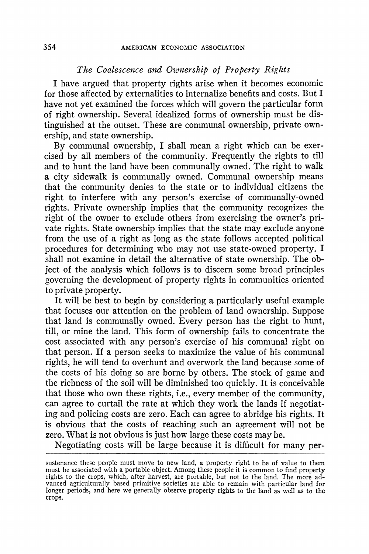#### *The Coalescence and Ownership of Property Rights*

I have argued that property rights arise when it becomes economic for those affected by externalities to internalize benefits and costs. But I have not yet examined the forces which will govern the particular form of right ownership. Several idealized forms of ownership must be distinguished at the outset. These are communal ownership, private ownership, and state ownership.

By communal ownership, I shall mean a right which can be exercised by all members of the community. Frequently the rights to till and to hunt the land have been communally owned. The right to walk a city sidewalk is communally owned. Communal ownership means that the community denies to the state or to individual citizens the right to interfere with any person's exercise of communally-owned rights. Private ownership implies that the community recognizes the right of the owner to exclude others from exercising the owner's private rights. State ownership implies that the state may exclude anyone from the use of a right as long as the state follows accepted political procedures for determining who may not use state-owned property. I shall not examine in detail the alternative of state ownership. The object of the analysis which follows is to discern some broad principles governing the development of property rights in communities oriented to private property.

It will be best to begin by considering a particularly useful example that focuses our attention on the problem of land ownership. Suppose that land is communally owned. Every person has the right to hunt, till, or mine the land. This form of ownership fails to concentrate the cost associated with any person's exercise of his communal right on that person. If a person seeks to maximize the value of his communal rights, he will tend to overhunt and overwork the land because some of the costs of his doing so are borne by others. The stock of game and the richness of the soil will be diminished too quickly. It is conceivable that those who own these rights, i.e., every member of the community, can agree to curtail the rate at which they work the lands if negotiating and policing costs are zero. Each can agree to abridge his rights. It is obvious that the costs of reaching such an agreement will not be zero. What is not obvious is just how large these costs may be.

Negotiating costs will be large because it is difficult for many per-

sustenance these people must move to new land, a property right to be of value to them must be associated with a portable object. Among these people it is common to find property rights to the crops, which, after harvest, are portable, but not to the land. The more ad-vanced agriculturally based primitive societies are able to remain with particular land for longer periods, and here we generally observe property rights to the land as well as to the crops.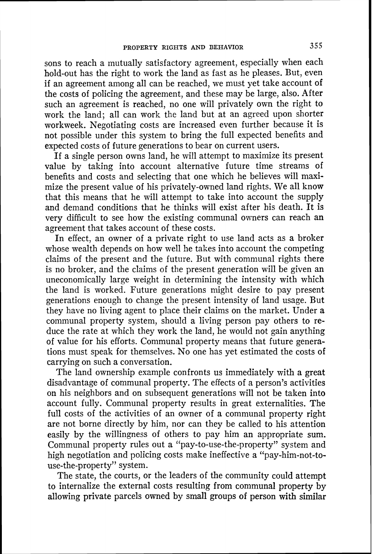sons to reach a mutually satisfactory agreement, especially when each hold-out has the right to work the land as fast as he pleases. But, even if an agreement among all can be reached, we must yet take account of the costs of policing the agreement, and these may be large, also. After such an agreement is reached, no one will privately own the right to work the land; all can work the land but at an agreed upon shorter workweek. Negotiating costs are increased even further because it is not possible under this system to bring the full expected benefits and expected costs of future generations to bear on current users.

If a single person owns land, he will attempt to maximize its present value by taking into account alternative future time streams of benefits and costs and selecting that one which he believes will maximize the present value of his privately-owned land rights. We all know that this means that he will attempt to take into account the supply and demand conditions that he thinks will exist after his death. It is very difficult to see how the existing communal owners can reach an agreement that takes account of these costs.

In effect, an owner of a private right to use land acts as a broker whose wealth depends on how well he takes into account the competing claims of the present and the future. But with communal rights there is no broker, and the claims of the present generation will be given an uneconomically large weight in determining the intensity with which the land is worked. Future generations might desire to pay present generations enough to change the present intensity of land usage. But they have no living agent to place their claims on the market. Under a communal property system, should a living person pay others to reduce the rate at which they work the land, he would not gain anything of value for his efforts. Communal property means that future generations must speak for themselves. No one has yet estimated the costs of carrying on such a conversation.

The land ownership example confronts us immediately with a great disadvantage of communal property. The effects of a person's activities on his neighbors and on subsequent generations will not be taken into account fully. Communal property results in great externalities. The full costs of the activities of an owner of a communal property right are not borne directly by him, nor can they be called to his attention easily by the willingness of others to pay him an appropriate sum. Communal property rules out a "pay-to-use-the-property" system and high negotiation and policing costs make ineffective a "pay-him-not-touse-the-property" system.

The state, the courts, or the leaders of the community could attempt to internalize the external costs resulting from communal property by allowing private parcels owned by small groups of person with similar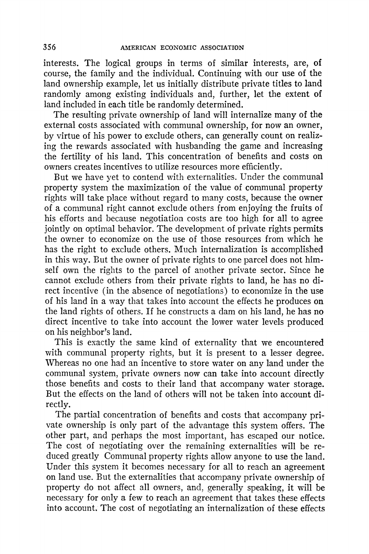interests. The logical groups in terms of similar interests, are, of course, the family and the individual. Continuing with our use of the land ownership example, let us initially distribute private titles to land randomly among existing individuals and, further, let the extent of land included in each title be randomly determined.

The resulting private ownership of land will internalize many of the external costs associated with communal ownership, for now an owner, by virtue of his power to exclude others, can generally count on realizing the rewards associated with husbanding the game and increasing the fertility of his land. This concentration of benefits and costs on owners creates incentives to utilize resources more efficiently.

But we have yet to contend with externalities. Under the communal property system the maximization of the value of communal property rights will take place without regard to many costs, because the owner of a communal right cannot exclude others from enjoying the fruits of his efforts and because negotiation costs are too high for all to agree jointly on optimal behavior. The development of private rights permits the owner to economize on the use of those resources from which he has the right to exclude others. Much internalization is accomplished in this way. But the owner of private rights to one parcel does not himself own the rights to the parcel of another private sector. Since he cannot exclude others from their private rights to land, he has no direct incentive (in the absence of negotiations) to economize in the use of his land in a way that takes into account the effects he produces on the land rights of others. If he constructs a dam on his land, he has no direct incentive to take into account the lower water levels produced on his neighbor's land.

This is exactly the same kind of externality that we encountered with communal property rights, but it is present to a lesser degree. Whereas no one had an incentive to store water on any land under the communal system, private owners now can take into account directly those benefits and costs to their land that accompany water storage. But the effects on the land of othcrs will not be taken into account directly.

The partial concentration of benefits and costs that accompany private ownership is only part of the advantage this system offers. The other part, and perhaps the most important, has escaped our notice. The cost of negotiating over the remaining externalities will be reduced greatly Communal property rights allow anyone to use the land. Under this system it becomes necessary for all to rezch an agreement on land use. But the externalities that accompany private ownership of property do not affect all owners, and, qenerally speaking, it will be necessary for only a few to reach an agreement that takes these effects into account. The cost of negotiating an internalization of these effects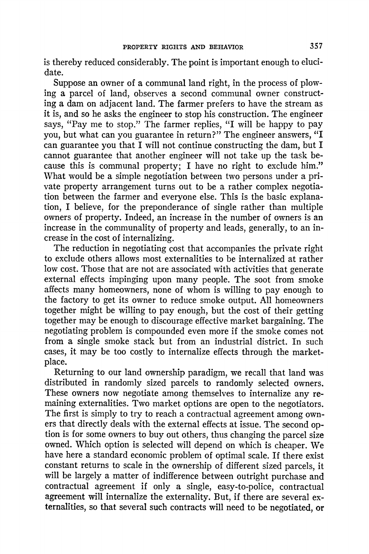is thereby reduced considerably. The point is important enough to elucidate.

Suppose an owner of a communal land right, in the process of plowing a parcel of land, observes a second communal owner constructing a dam on adjacent land. The farmer prefers to have the stream as it is, and so he asks the engineer to stop his construction. The engineer says, "Pay me to stop." The farmer replies, "I will be happy to pay you, but what can you guarantee in return?" The engineer answers, "I can guarantee you that I will not continue constructing the dam, but I cannot guarantee that another engineer will not take up the task because this is communal property; I have no right to exclude him." What would be a simple negotiation between two persons under a private property arrangement turns out to be a rather complex negotiation between the farmer and everyone else. This is the basic explanation, I believe, for the preponderance of single rather than multiple owners of property. Indeed, an increase in the number of owners is an increase in the communality of property and leads, generally, to an increase in the cost of internalizing.

The reduction in negotiating cost that accompanies the private right to exclude others allows most externalities to be internalized at rather low cost. Those that are not are associated with activities that generate external effects impinging upon many people. The soot from smoke affects many homeowners, none of whom is willing to pay enough to the factory to get its owner to reduce smoke output. All homeowners together might be willing to pay enough, but the cost of their getting together may be enough to discourage effective market bargaining. The negotiating problem is compounded even more if the smoke comes not from a single smoke stack but from an industrial district. In such cases, it may be too costly to internalize effects through the marketplace.

Returning to our land ownership paradigm, we recall that land was distributed in randomly sized parcels to randomly selected owners. These owners now negotiate among themselves to internalize any remaining externalities. Two market options are open to the negotiators. The first is simply to try to reach a contractual agreement among owners that directly deals with the external effects at issue. The second option is for some owners to buy out others, thus changing the parcel size owned. Which option is selected will depend on which is cheaper. We have here a standard economic problem of optimal scale. If there exist constant returns to scale in the ownership of different sized parcels, it will be largely a matter of indifference between outright purchase and contractual agreement if only a single, easy-to-police, contractual agreement will internalize the externality. But, if there are several externalities, so that several such contracts will need to be negotiated, or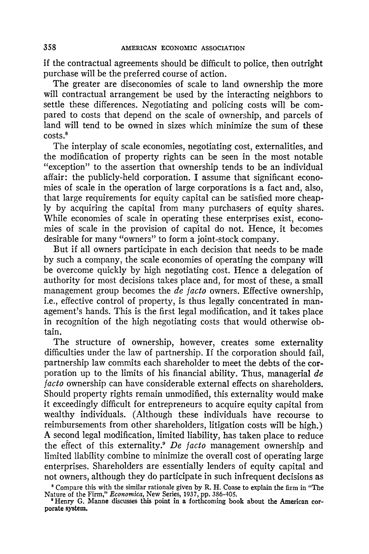if the contractual agreements should be difficult to police, then outright purchase will be the preferred course of action.

The greater are diseconomies of scale to land ownership the more will contractual arrangement be used by the interacting neighbors to settle these differences. Negotiating and policing costs will be compared to costs that depend on the scale of ownership, and parcels of land will tend to be owned in sizes which minimize the sum of these  $costs.<sup>8</sup>$ 

The interplay of scale economies, negotiating cost, externalities, and the modification of property rights can be seen in the most notable "exception" to the assertion that ownership tends to be an individual affair: the publicly-held corporation. I assume that significant economies of scale in the operation of large corporations is a fact and, also, that large requirements for equity capital can be satisfied more cheaply by acquiring the capital from many purchasers of equity shares. While economies of scale in operating these enterprises exist, economies of scale in the provision of capital do not. Hence, it becomes desirable for many "owners" to form a joint-stock company.

But if all owners participate in each decision that needs to be made by such a company, the scale economies of operating the company will be overcome quickly by high negotiating cost. Hence a delegation of authority for most decisions takes place and, for most of these, a small management group becomes the de *facto* owners. Effective ownership, i.e., effective control of property, is thus legally concentrated in management's hands. This is the first legal modification, and it takes place in recognition of the high negotiating costs that would otherwise obtain.

The structure of ownership, however, creates some externality difficulties under the law of partnership. If the corporation should fail, partnership law commits each shareholder to meet the debts of the corporation up to the limits of his financial ability. Thus, managerial de *facto* ownership can have considerable external effects on shareholders. Should property rights remain unmodified, this externality would make it exceedingly difficult for entrepreneurs to acquire equity capital from wealthy individuals. (Although these individuals have recourse to reimbursements from other shareholders, litigation costs will be high.) **A** second legal modification, limited liability, has taken place to reduce the effect of this externality.<sup>9</sup> De *facto* management ownership and limited liability combine to minimize the overall cost of operating large enterprises. Shareholders are essentially lenders of equity capital and not owners, although they do participate in such infrequent decisions as

Compare this with the similar rationale given by R. H. Coase to explain the firm in "The

Nature of the Firm," *Economica*, New Series, 1937, pp. 386-405.<br>"Henry G. Manne discusses this point in a forthcoming book about the American corporate **system.**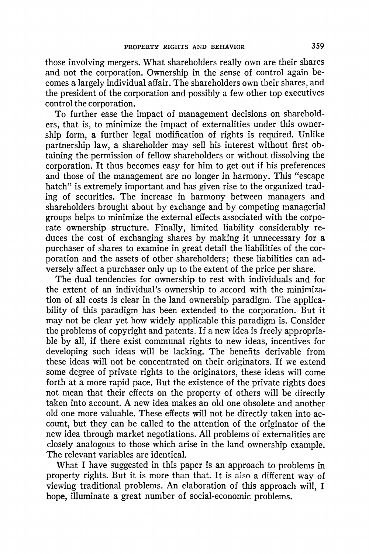those involving mergers. What shareholders really own are their shares and not the corporation. Ownership in the sense of control again becomes a largely individual affair. The shareholders own their shares, and the president of the corporation and possibly a few other top executives control the corporation.

To further ease the impact of management decisions on shareholders, that is, to minimize the impact of externalities under this ownership form, a further legal modification of rights is required. Unlike partnership law, a shareholder may sell his interest without first obtaining the permission of fellow shareholders or without dissolving the corporation. It thus becomes easy for him to get out if his preferences and those of the management are no longer in harmony. This "escape hatch" is extremely important and has given rise to the organized trading of securities. The increase in harmony between managers and shareholders brought about by exchange and by competing managerial groups helps to minimize the external effects associated with the corporate ownership structure. Finally, limited liability considerably reduces the cost of exchanging shares by making it unnecessary for a purchaser of shares to examine in great detail the liabilities of the corporation and the assets of other shareholders; these liabilities can adversely affect a purchaser only up to the extent of the price per share.

The dual tendencies for ownership to rest with individuals and for the extent of an individual's ownership to accord with the minimization of all costs is clear in the land ownership paradigm. The applicability of this paradigm has been extended to the corporation. But it may not be clear yet how widely applicable this paradigm is. Consider the problems of copyright and patents. If a new idea is freely appropriable by all, if there exist communal rights to new ideas, incentives for developing such ideas will be lacking. The benefits derivable from these ideas will not be concentrated on their originators. If we extend some degree of private rights to the originators, these ideas will come forth at a more rapid pace. But the existence of the private rights does not mean that their effects on the property of others will be directly taken into account. A new idea makes an old one obsolete and another old one more valuable. These effects will not be directly taken into account, but they can be called to the attention of the originator of the new idea through market negotiations. All problems of externalities are closely analogous to those which arise in the land ownership example. The relevant variables are identical.

What I have suggested in this paper is an approach to problems in property rights. But it is more than that. It is also a different way of viewing traditional problems. An elaboration of this approach will, I hope, illuminate a great number of social-economic problems.